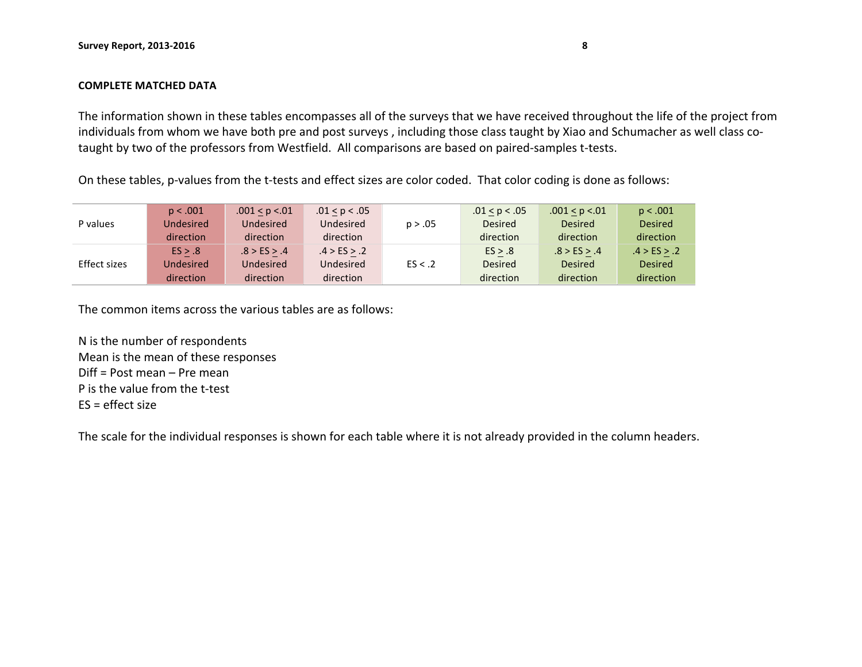#### **COMPLETE MATCHED DATA**

The information shown in these tables encompasses all of the surveys that we have received throughout the life of the project from individuals from whom we have both pre and post surveys, including those class taught by Xiao and Schumacher as well class cotaught by two of the professors from Westfield. All comparisons are based on paired-samples t-tests.

On these tables, p-values from the t-tests and effect sizes are color coded. That color coding is done as follows:

|              | p < .001  | .001 < p < 01 | .01 < p < .05 |         | .01 < p < .05  | .001 < p < .01 | p < .001       |
|--------------|-----------|---------------|---------------|---------|----------------|----------------|----------------|
| P values     | Undesired | Undesired     | Undesired     | p > .05 | <b>Desired</b> | <b>Desired</b> | <b>Desired</b> |
|              | direction | direction     | direction     |         | direction      | direction      | direction      |
|              | ES > .8   | .8 > ES > .4  | .4 > ES > .2  |         | ES > .8        | .8 > ES > .4   | .4 > ES > .2   |
| Effect sizes | Undesired | Undesired     | Undesired     | ES < .2 | <b>Desired</b> | <b>Desired</b> | <b>Desired</b> |
|              | direction | direction     | direction     |         | direction      | direction      | direction      |

The common items across the various tables are as follows:

N is the number of respondents Mean is the mean of these responses  $Diff = Post mean - Pre mean$ P is the value from the t-test  $ES = effect size$ 

The scale for the individual responses is shown for each table where it is not already provided in the column headers.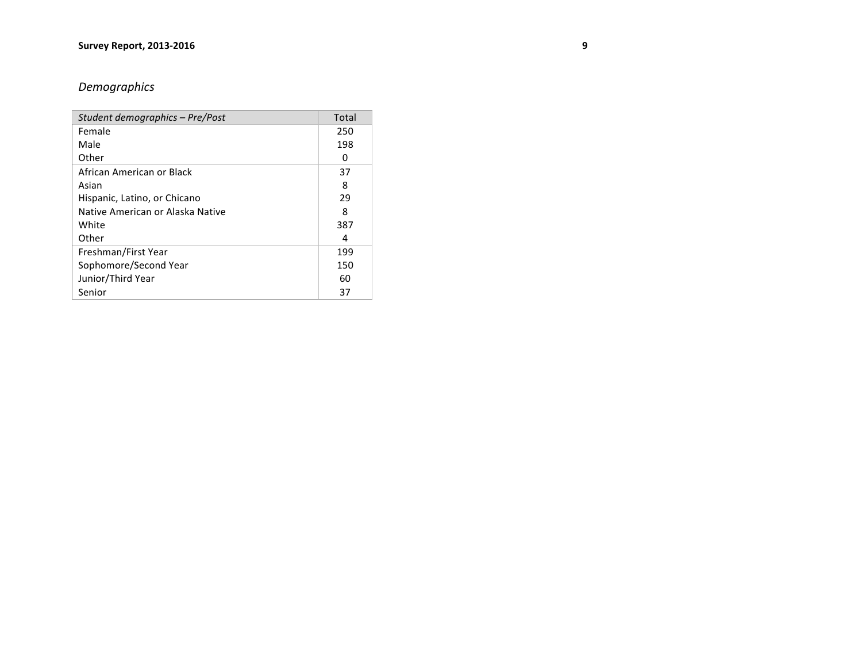# *Demographics*

| Student demographics - Pre/Post  | Total |
|----------------------------------|-------|
| Female                           | 250   |
| Male                             | 198   |
| Other                            | 0     |
| African American or Black        | 37    |
| Asian                            | 8     |
| Hispanic, Latino, or Chicano     | 29    |
| Native American or Alaska Native | 8     |
| White                            | 387   |
| Other                            | 4     |
| Freshman/First Year              | 199   |
| Sophomore/Second Year            | 150   |
| Junior/Third Year                | 60    |
| Senior                           | 37    |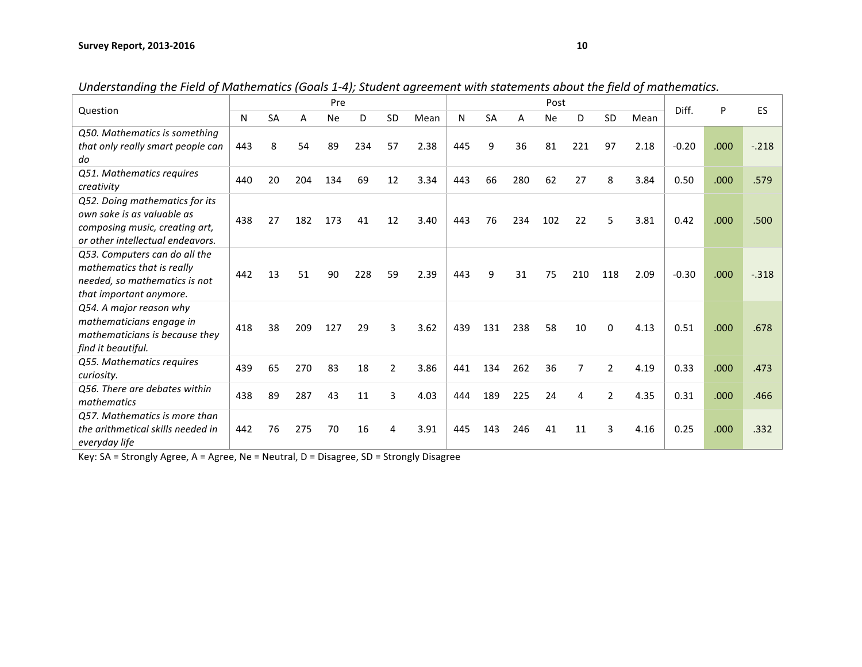| Question                                                    |     |           |     | Pre       |     |    |      |     |     |     | Post      |     |                |      | Diff.   | P    | ES       |
|-------------------------------------------------------------|-----|-----------|-----|-----------|-----|----|------|-----|-----|-----|-----------|-----|----------------|------|---------|------|----------|
|                                                             | N   | <b>SA</b> | A   | <b>Ne</b> | D   | SD | Mean | N   | SA  | Α   | <b>Ne</b> | D   | SD             | Mean |         |      |          |
| Q50. Mathematics is something                               |     |           |     |           |     |    |      |     |     |     |           |     |                |      |         |      |          |
| that only really smart people can                           | 443 | 8         | 54  | 89        | 234 | 57 | 2.38 | 445 | 9   | 36  | 81        | 221 | 97             | 2.18 | $-0.20$ | .000 | $-.218$  |
| do                                                          |     |           |     |           |     |    |      |     |     |     |           |     |                |      |         |      |          |
| Q51. Mathematics requires                                   | 440 | 20        | 204 | 134       | 69  | 12 | 3.34 | 443 | 66  | 280 | 62        | 27  | 8              | 3.84 | 0.50    | .000 | .579     |
| creativity                                                  |     |           |     |           |     |    |      |     |     |     |           |     |                |      |         |      |          |
| Q52. Doing mathematics for its                              |     |           |     |           |     |    |      |     |     |     |           |     |                |      |         |      |          |
| own sake is as valuable as                                  | 438 | 27        | 182 | 173       | 41  | 12 | 3.40 | 443 | 76  | 234 | 102       | 22  | 5              | 3.81 | 0.42    | .000 | .500     |
| composing music, creating art,                              |     |           |     |           |     |    |      |     |     |     |           |     |                |      |         |      |          |
| or other intellectual endeavors.                            |     |           |     |           |     |    |      |     |     |     |           |     |                |      |         |      |          |
| Q53. Computers can do all the                               |     |           |     |           |     |    |      |     |     |     |           |     |                |      |         |      |          |
| mathematics that is really<br>needed, so mathematics is not | 442 | 13        | 51  | 90        | 228 | 59 | 2.39 | 443 | 9   | 31  | 75        | 210 | 118            | 2.09 | $-0.30$ | .000 | $-0.318$ |
| that important anymore.                                     |     |           |     |           |     |    |      |     |     |     |           |     |                |      |         |      |          |
| Q54. A major reason why                                     |     |           |     |           |     |    |      |     |     |     |           |     |                |      |         |      |          |
| mathematicians engage in                                    |     |           |     |           |     |    |      |     |     |     |           |     |                |      |         |      |          |
| mathematicians is because they                              | 418 | 38        | 209 | 127       | 29  | 3  | 3.62 | 439 | 131 | 238 | 58        | 10  | 0              | 4.13 | 0.51    | .000 | .678     |
| find it beautiful.                                          |     |           |     |           |     |    |      |     |     |     |           |     |                |      |         |      |          |
| Q55. Mathematics requires                                   |     |           |     |           |     |    |      |     |     |     |           |     |                |      |         |      |          |
| curiosity.                                                  | 439 | 65        | 270 | 83        | 18  | 2  | 3.86 | 441 | 134 | 262 | 36        | 7   | $\overline{2}$ | 4.19 | 0.33    | .000 | .473     |
| Q56. There are debates within                               | 438 | 89        | 287 | 43        | 11  | 3  | 4.03 | 444 | 189 | 225 | 24        | 4   | $\overline{2}$ | 4.35 | 0.31    | .000 | .466     |
| mathematics                                                 |     |           |     |           |     |    |      |     |     |     |           |     |                |      |         |      |          |
| Q57. Mathematics is more than                               |     |           |     |           |     |    |      |     |     |     |           |     |                |      |         |      |          |
| the arithmetical skills needed in                           | 442 | 76        | 275 | 70        | 16  | 4  | 3.91 | 445 | 143 | 246 | 41        | 11  | 3              | 4.16 | 0.25    | .000 | .332     |
| everyday life                                               |     |           |     |           |     |    |      |     |     |     |           |     |                |      |         |      |          |

*Understanding the Field of Mathematics (Goals 1-4); Student agreement with statements about the field of mathematics.*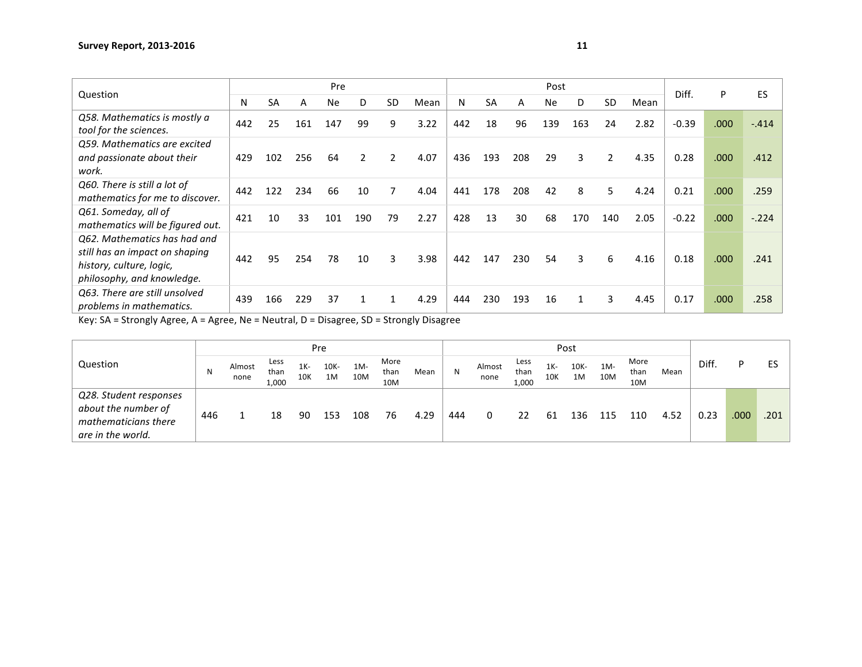|                                                                                                                          |     |     |     | Pre |              |           |      |     |           |     | Post      |     |           |      | Diff.   | P    | ES      |
|--------------------------------------------------------------------------------------------------------------------------|-----|-----|-----|-----|--------------|-----------|------|-----|-----------|-----|-----------|-----|-----------|------|---------|------|---------|
| Question                                                                                                                 | N   | SA  | Α   | Ne. | D            | <b>SD</b> | Mean | N   | <b>SA</b> | А   | <b>Ne</b> | D   | <b>SD</b> | Mean |         |      |         |
| Q58. Mathematics is mostly a<br>tool for the sciences.                                                                   | 442 | 25  | 161 | 147 | 99           | 9         | 3.22 | 442 | 18        | 96  | 139       | 163 | 24        | 2.82 | $-0.39$ | .000 | $-414$  |
| Q59. Mathematics are excited<br>and passionate about their<br>work.                                                      | 429 | 102 | 256 | 64  | 2            | 2         | 4.07 | 436 | 193       | 208 | 29        | 3   | 2         | 4.35 | 0.28    | .000 | .412    |
| Q60. There is still a lot of<br>mathematics for me to discover.                                                          | 442 | 122 | 234 | 66  | 10           | 7         | 4.04 | 441 | 178       | 208 | 42        | 8   | 5         | 4.24 | 0.21    | .000 | .259    |
| Q61. Someday, all of<br>mathematics will be figured out.                                                                 | 421 | 10  | 33  | 101 | 190          | 79        | 2.27 | 428 | 13        | 30  | 68        | 170 | 140       | 2.05 | $-0.22$ | .000 | $-.224$ |
| Q62. Mathematics has had and<br>still has an impact on shaping<br>history, culture, logic,<br>philosophy, and knowledge. | 442 | 95  | 254 | 78  | 10           | 3         | 3.98 | 442 | 147       | 230 | 54        | 3   | 6         | 4.16 | 0.18    | .000 | .241    |
| Q63. There are still unsolved<br>problems in mathematics.                                                                | 439 | 166 | 229 | 37  | $\mathbf{1}$ | 1         | 4.29 | 444 | 230       | 193 | 16        | 1   | 3         | 4.45 | 0.17    | .000 | .258    |

|                                                                                            |     |                |                       |               | Pre        |               |                     |      |     |                |                       |               | Post       |               |                     |      |       |      |      |
|--------------------------------------------------------------------------------------------|-----|----------------|-----------------------|---------------|------------|---------------|---------------------|------|-----|----------------|-----------------------|---------------|------------|---------------|---------------------|------|-------|------|------|
| Question                                                                                   | N   | Almost<br>none | Less<br>than<br>1,000 | $1K -$<br>10K | 10K-<br>1M | $1M -$<br>10M | More<br>than<br>10M | Mean | N   | Almost<br>none | Less<br>than<br>1,000 | $1K -$<br>10K | 10K-<br>1M | $1M -$<br>10M | More<br>than<br>10M | Mean | Diff. | P.   | ES   |
| Q28. Student responses<br>about the number of<br>mathematicians there<br>are in the world. | 446 |                | 18                    | 90            | 153        | 108           | 76                  | 4.29 | 444 | 0              | 22                    | 61            | 136        | 115           | 110                 | 4.52 | 0.23  | .000 | .201 |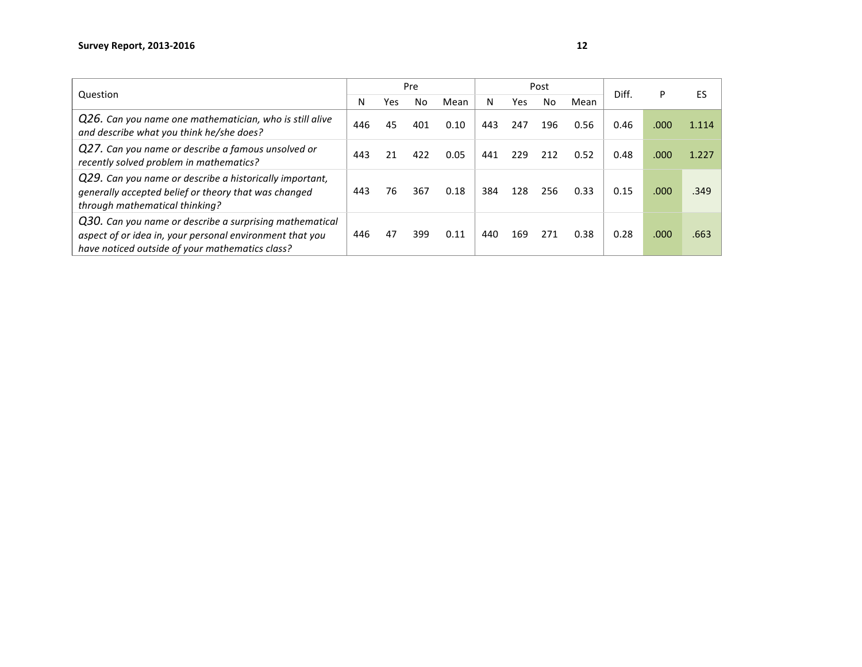| Question                                                                                                                                                               |     |     | Pre |      |     |     | Post |      | Diff. | P    | FS    |
|------------------------------------------------------------------------------------------------------------------------------------------------------------------------|-----|-----|-----|------|-----|-----|------|------|-------|------|-------|
|                                                                                                                                                                        | N   | Yes | No  | Mean | N   | Yes | Nο   | Mean |       |      |       |
| Q26. Can you name one mathematician, who is still alive<br>and describe what you think he/she does?                                                                    | 446 | 45  | 401 | 0.10 | 443 | 247 | 196  | 0.56 | 0.46  | .000 | 1.114 |
| Q27. Can you name or describe a famous unsolved or<br>recently solved problem in mathematics?                                                                          | 443 | 21  | 422 | 0.05 | 441 | 229 | 212  | 0.52 | 0.48  | .000 | 1.227 |
| Q29. Can you name or describe a historically important,<br>generally accepted belief or theory that was changed<br>through mathematical thinking?                      | 443 | 76  | 367 | 0.18 | 384 | 128 | 256  | 0.33 | 0.15  | .000 | .349  |
| Q30. Can you name or describe a surprising mathematical<br>aspect of or idea in, your personal environment that you<br>have noticed outside of your mathematics class? | 446 | 47  | 399 | 0.11 | 440 | 169 | 271  | 0.38 | 0.28  | .000 | .663  |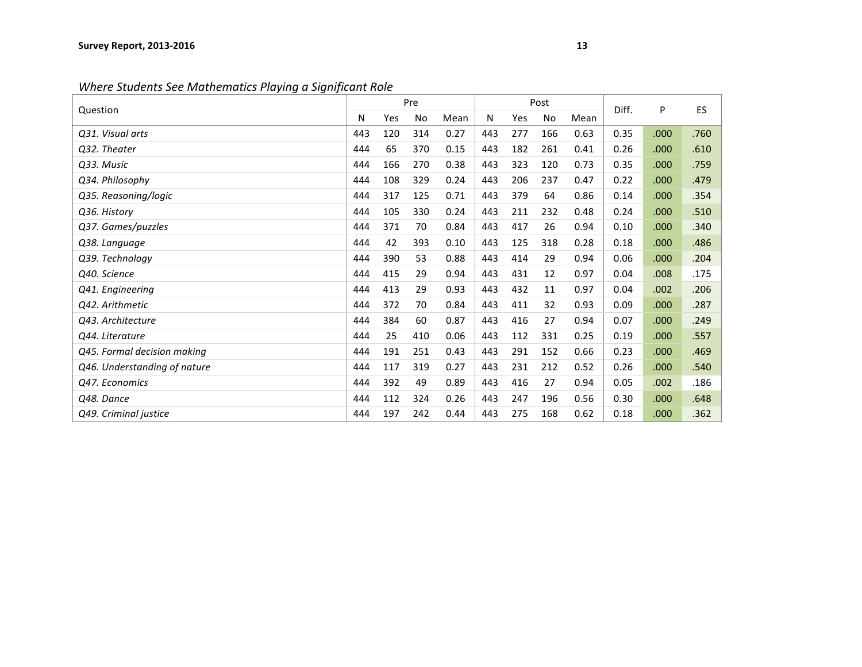*Where Students See Mathematics Playing a Significant Role* 

| Question                     |     |     | Pre |      |     |     | Post      |      | Diff. | P    | <b>ES</b> |
|------------------------------|-----|-----|-----|------|-----|-----|-----------|------|-------|------|-----------|
|                              | N   | Yes | No  | Mean | Ν   | Yes | <b>No</b> | Mean |       |      |           |
| Q31. Visual arts             | 443 | 120 | 314 | 0.27 | 443 | 277 | 166       | 0.63 | 0.35  | .000 | .760      |
| Q32. Theater                 | 444 | 65  | 370 | 0.15 | 443 | 182 | 261       | 0.41 | 0.26  | .000 | .610      |
| Q33. Music                   | 444 | 166 | 270 | 0.38 | 443 | 323 | 120       | 0.73 | 0.35  | .000 | .759      |
| Q34. Philosophy              | 444 | 108 | 329 | 0.24 | 443 | 206 | 237       | 0.47 | 0.22  | .000 | .479      |
| Q35. Reasoning/logic         | 444 | 317 | 125 | 0.71 | 443 | 379 | 64        | 0.86 | 0.14  | .000 | .354      |
| Q36. History                 | 444 | 105 | 330 | 0.24 | 443 | 211 | 232       | 0.48 | 0.24  | .000 | .510      |
| Q37. Games/puzzles           | 444 | 371 | 70  | 0.84 | 443 | 417 | 26        | 0.94 | 0.10  | .000 | .340      |
| Q38. Language                | 444 | 42  | 393 | 0.10 | 443 | 125 | 318       | 0.28 | 0.18  | .000 | .486      |
| Q39. Technology              | 444 | 390 | 53  | 0.88 | 443 | 414 | 29        | 0.94 | 0.06  | .000 | .204      |
| Q40. Science                 | 444 | 415 | 29  | 0.94 | 443 | 431 | 12        | 0.97 | 0.04  | .008 | .175      |
| Q41. Engineering             | 444 | 413 | 29  | 0.93 | 443 | 432 | 11        | 0.97 | 0.04  | .002 | .206      |
| Q42. Arithmetic              | 444 | 372 | 70  | 0.84 | 443 | 411 | 32        | 0.93 | 0.09  | .000 | .287      |
| Q43. Architecture            | 444 | 384 | 60  | 0.87 | 443 | 416 | 27        | 0.94 | 0.07  | .000 | .249      |
| Q44. Literature              | 444 | 25  | 410 | 0.06 | 443 | 112 | 331       | 0.25 | 0.19  | .000 | .557      |
| Q45. Formal decision making  | 444 | 191 | 251 | 0.43 | 443 | 291 | 152       | 0.66 | 0.23  | .000 | .469      |
| Q46. Understanding of nature | 444 | 117 | 319 | 0.27 | 443 | 231 | 212       | 0.52 | 0.26  | .000 | .540      |
| Q47. Economics               | 444 | 392 | 49  | 0.89 | 443 | 416 | 27        | 0.94 | 0.05  | .002 | .186      |
| Q48. Dance                   | 444 | 112 | 324 | 0.26 | 443 | 247 | 196       | 0.56 | 0.30  | .000 | .648      |
| Q49. Criminal justice        | 444 | 197 | 242 | 0.44 | 443 | 275 | 168       | 0.62 | 0.18  | .000 | .362      |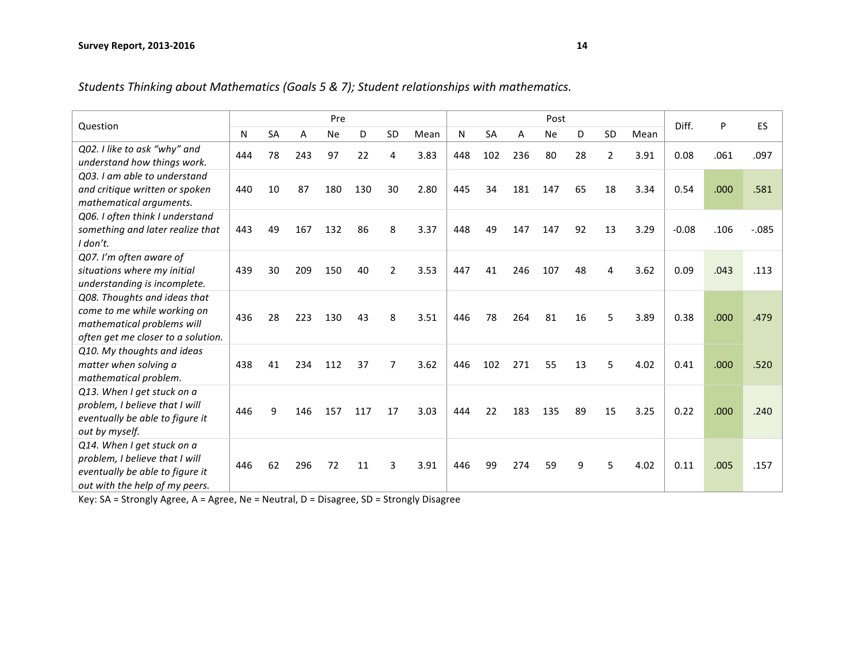| Students Thinking about Mathematics (Goals 5 & 7); Student relationships with mathematics. |  |  |
|--------------------------------------------------------------------------------------------|--|--|
|                                                                                            |  |  |

|                                    |     |           |     | Pre       |     |                |      |     |           |     | Post      |    |                |      | Diff.   |      | ES       |
|------------------------------------|-----|-----------|-----|-----------|-----|----------------|------|-----|-----------|-----|-----------|----|----------------|------|---------|------|----------|
| Question                           | N   | <b>SA</b> | A   | <b>Ne</b> | D   | <b>SD</b>      | Mean | N   | <b>SA</b> | A   | <b>Ne</b> | D  | <b>SD</b>      | Mean |         | P    |          |
| Q02. I like to ask "why" and       | 444 | 78        | 243 | 97        | 22  | 4              | 3.83 | 448 | 102       | 236 | 80        | 28 | $\overline{2}$ | 3.91 | 0.08    | .061 | .097     |
| understand how things work.        |     |           |     |           |     |                |      |     |           |     |           |    |                |      |         |      |          |
| Q03. I am able to understand       |     |           |     |           |     |                |      |     |           |     |           |    |                |      |         |      |          |
| and critique written or spoken     | 440 | 10        | 87  | 180       | 130 | 30             | 2.80 | 445 | 34        | 181 | 147       | 65 | 18             | 3.34 | 0.54    | .000 | .581     |
| mathematical arguments.            |     |           |     |           |     |                |      |     |           |     |           |    |                |      |         |      |          |
| Q06. I often think I understand    |     |           |     |           |     |                |      |     |           |     |           |    |                |      |         |      |          |
| something and later realize that   | 443 | 49        | 167 | 132       | 86  | 8              | 3.37 | 448 | 49        | 147 | 147       | 92 | 13             | 3.29 | $-0.08$ | .106 | $-0.085$ |
| $I$ don't.                         |     |           |     |           |     |                |      |     |           |     |           |    |                |      |         |      |          |
| Q07. I'm often aware of            |     |           |     |           |     |                |      |     |           |     |           |    |                |      |         |      |          |
| situations where my initial        | 439 | 30        | 209 | 150       | 40  | 2              | 3.53 | 447 | 41        | 246 | 107       | 48 | 4              | 3.62 | 0.09    | .043 | .113     |
| understanding is incomplete.       |     |           |     |           |     |                |      |     |           |     |           |    |                |      |         |      |          |
| Q08. Thoughts and ideas that       |     |           |     |           |     |                |      |     |           |     |           |    |                |      |         |      |          |
| come to me while working on        | 436 | 28        | 223 | 130       | 43  | 8              | 3.51 | 446 | 78        | 264 | 81        | 16 | 5              | 3.89 | 0.38    | .000 | .479     |
| mathematical problems will         |     |           |     |           |     |                |      |     |           |     |           |    |                |      |         |      |          |
| often get me closer to a solution. |     |           |     |           |     |                |      |     |           |     |           |    |                |      |         |      |          |
| Q10. My thoughts and ideas         |     |           |     |           |     |                |      |     |           |     |           |    |                |      |         |      |          |
| matter when solving a              | 438 | 41        | 234 | 112       | 37  | $\overline{7}$ | 3.62 | 446 | 102       | 271 | 55        | 13 | 5              | 4.02 | 0.41    | .000 | .520     |
| mathematical problem.              |     |           |     |           |     |                |      |     |           |     |           |    |                |      |         |      |          |
| Q13. When I get stuck on a         |     |           |     |           |     |                |      |     |           |     |           |    |                |      |         |      |          |
| problem, I believe that I will     | 446 | 9         | 146 | 157       | 117 | 17             | 3.03 | 444 | 22        | 183 | 135       | 89 | 15             | 3.25 | 0.22    | .000 | .240     |
| eventually be able to figure it    |     |           |     |           |     |                |      |     |           |     |           |    |                |      |         |      |          |
| out by myself.                     |     |           |     |           |     |                |      |     |           |     |           |    |                |      |         |      |          |
| Q14. When I get stuck on a         |     |           |     |           |     |                |      |     |           |     |           |    |                |      |         |      |          |
| problem, I believe that I will     | 446 | 62        | 296 | 72        | 11  | 3              | 3.91 | 446 | 99        | 274 | 59        | 9  | 5              | 4.02 | 0.11    | .005 | .157     |
| eventually be able to figure it    |     |           |     |           |     |                |      |     |           |     |           |    |                |      |         |      |          |
| out with the help of my peers.     |     |           |     |           |     |                |      |     |           |     |           |    |                |      |         |      |          |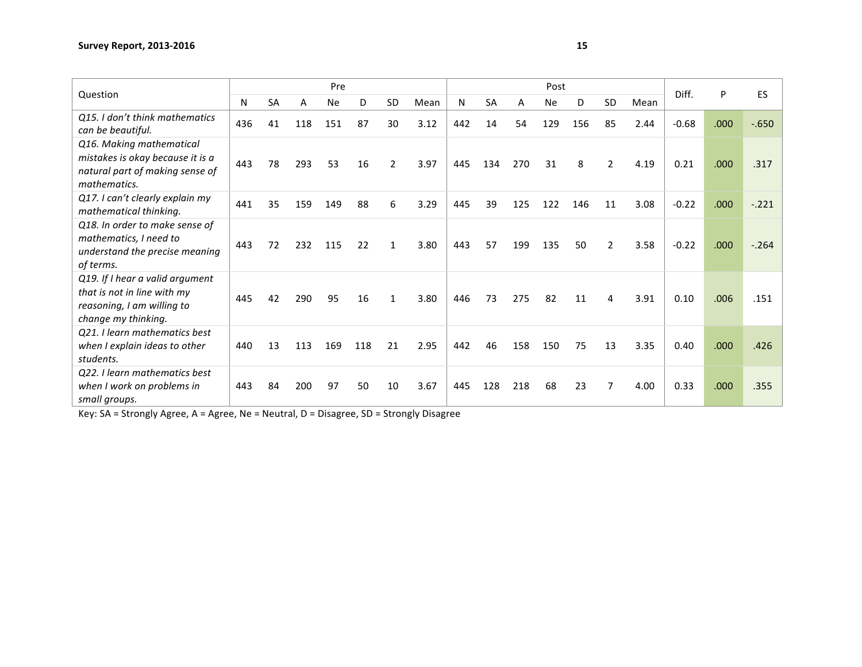|                                                                                                                     |     |           |     | Pre       |     |                |      |     |           |     | Post      |     |                |      | Diff.   | P    | ES      |
|---------------------------------------------------------------------------------------------------------------------|-----|-----------|-----|-----------|-----|----------------|------|-----|-----------|-----|-----------|-----|----------------|------|---------|------|---------|
| Question                                                                                                            | N   | <b>SA</b> | A   | <b>Ne</b> | D   | <b>SD</b>      | Mean | N   | <b>SA</b> | А   | <b>Ne</b> | D   | <b>SD</b>      | Mean |         |      |         |
| Q15. I don't think mathematics<br>can be beautiful.                                                                 | 436 | 41        | 118 | 151       | 87  | 30             | 3.12 | 442 | 14        | 54  | 129       | 156 | 85             | 2.44 | $-0.68$ | .000 | $-650$  |
| Q16. Making mathematical<br>mistakes is okay because it is a<br>natural part of making sense of<br>mathematics.     | 443 | 78        | 293 | 53        | 16  | $\overline{2}$ | 3.97 | 445 | 134       | 270 | 31        | 8   | $\overline{2}$ | 4.19 | 0.21    | .000 | .317    |
| Q17. I can't clearly explain my<br>mathematical thinking.                                                           | 441 | 35        | 159 | 149       | 88  | 6              | 3.29 | 445 | 39        | 125 | 122       | 146 | 11             | 3.08 | $-0.22$ | .000 | $-.221$ |
| Q18. In order to make sense of<br>mathematics, I need to<br>understand the precise meaning<br>of terms.             | 443 | 72        | 232 | 115       | 22  | 1              | 3.80 | 443 | 57        | 199 | 135       | 50  | $\overline{2}$ | 3.58 | $-0.22$ | .000 | $-264$  |
| Q19. If I hear a valid argument<br>that is not in line with my<br>reasoning, I am willing to<br>change my thinking. | 445 | 42        | 290 | 95        | 16  | 1              | 3.80 | 446 | 73        | 275 | 82        | 11  | $\overline{4}$ | 3.91 | 0.10    | .006 | .151    |
| Q21. I learn mathematics best<br>when I explain ideas to other<br>students.                                         | 440 | 13        | 113 | 169       | 118 | 21             | 2.95 | 442 | 46        | 158 | 150       | 75  | 13             | 3.35 | 0.40    | .000 | .426    |
| Q22. I learn mathematics best<br>when I work on problems in<br>small groups.                                        | 443 | 84        | 200 | 97        | 50  | 10             | 3.67 | 445 | 128       | 218 | 68        | 23  | $\overline{7}$ | 4.00 | 0.33    | .000 | .355    |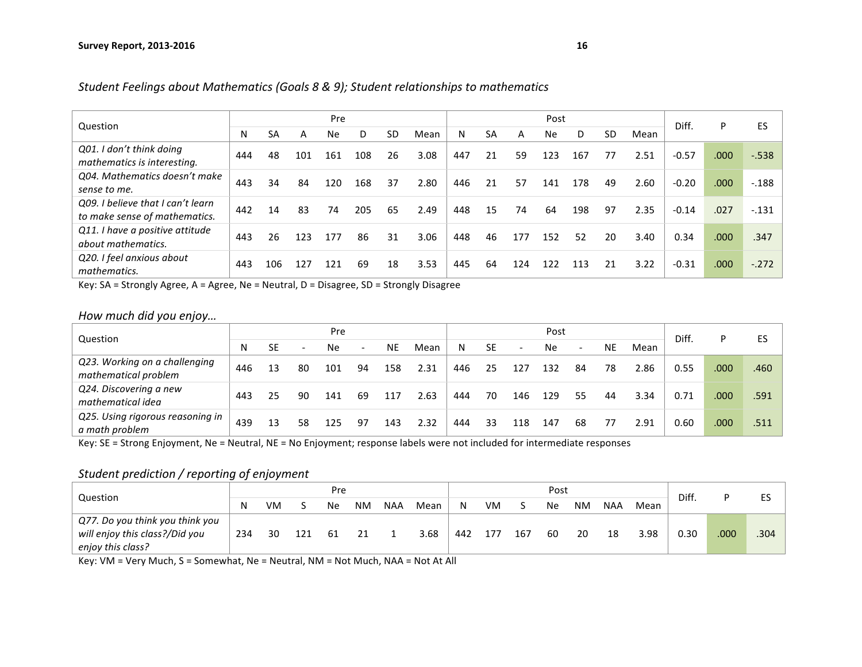|                                                                    |     |     |     | Pre       |     |           |      |     |           |     | Post      |     |    |      | Diff.   | P    | ES       |
|--------------------------------------------------------------------|-----|-----|-----|-----------|-----|-----------|------|-----|-----------|-----|-----------|-----|----|------|---------|------|----------|
| Question                                                           | N   | SΑ  | A   | <b>Ne</b> | D   | <b>SD</b> | Mean | N   | <b>SA</b> | А   | <b>Ne</b> | D   | SD | Mean |         |      |          |
| Q01. I don't think doing<br>mathematics is interesting.            | 444 | 48  | 101 | 161       | 108 | 26        | 3.08 | 447 | 21        | 59  | 123       | 167 | 77 | 2.51 | $-0.57$ | .000 | $-0.538$ |
| Q04. Mathematics doesn't make<br>sense to me.                      | 443 | 34  | 84  | 120       | 168 | 37        | 2.80 | 446 | 21        | 57  | 141       | 178 | 49 | 2.60 | $-0.20$ | .000 | $-188$   |
| Q09. I believe that I can't learn<br>to make sense of mathematics. | 442 | 14  | 83  | 74        | 205 | 65        | 2.49 | 448 | 15        | 74  | 64        | 198 | 97 | 2.35 | $-0.14$ | .027 | $-.131$  |
| Q11. I have a positive attitude<br>about mathematics.              | 443 | 26  | 123 | 177       | 86  | 31        | 3.06 | 448 | 46        | 177 | 152       | 52  | 20 | 3.40 | 0.34    | .000 | .347     |
| Q20. I feel anxious about<br>mathematics.                          | 443 | 106 | 127 | 121       | 69  | 18        | 3.53 | 445 | 64        | 124 | 122       | 113 | 21 | 3.22 | $-0.31$ | .000 | $-.272$  |

Student Feelings about Mathematics (Goals 8 & 9); Student relationships to mathematics

Key:  $SA =$  Strongly Agree,  $A =$  Agree,  $Ne =$  Neutral,  $D =$  Disagree,  $SD =$  Strongly Disagree

### *How much did you enjoy…*

| Question                                              |     |           |                          | Pre       |                              |           |      |     |           |                              | Post |                          |           |      | Diff. | P    | ES   |
|-------------------------------------------------------|-----|-----------|--------------------------|-----------|------------------------------|-----------|------|-----|-----------|------------------------------|------|--------------------------|-----------|------|-------|------|------|
|                                                       | N   | <b>SE</b> | $\overline{\phantom{a}}$ | <b>Ne</b> | $\qquad \qquad \blacksquare$ | <b>NE</b> | Mean | N   | <b>SE</b> | $\qquad \qquad \blacksquare$ | Ne   | $\overline{\phantom{0}}$ | <b>NE</b> | Mean |       |      |      |
| Q23. Working on a challenging<br>mathematical problem | 446 | 13        | 80                       | 101       | 94                           | 158       | 2.31 | 446 | 25        | 127                          | 132  | 84                       | 78        | 2.86 | 0.55  | .000 | .460 |
| Q24. Discovering a new<br>mathematical idea           | 443 | 25        | 90                       | 141       | 69                           | 117       | 2.63 | 444 | 70        | 146                          | 129  | 55                       | 44        | 3.34 | 0.71  | .000 | .591 |
| Q25. Using rigorous reasoning in<br>a math problem    | 439 | 13        | 58                       | 125       | -97                          | 143       | 2.32 | 444 | 33        | 118                          | 147  | 68                       | 77        | 2.91 | 0.60  | .000 | .511 |

Key: SE = Strong Enjoyment, Ne = Neutral, NE = No Enjoyment; response labels were not included for intermediate responses

### Student prediction / reporting of enjoyment

| Question                                            |     |     |     | Pre |    |            |      |     |     |     | Post |           |            |      | Diff. |      | FC   |
|-----------------------------------------------------|-----|-----|-----|-----|----|------------|------|-----|-----|-----|------|-----------|------------|------|-------|------|------|
|                                                     | N   | VM. |     | Ne  | ΝM | <b>NAA</b> | Mean | N   | VM  |     | Ne   | <b>NM</b> | <b>NAA</b> | Mean |       |      |      |
| Q77. Do you think you think you                     |     |     |     |     |    |            |      |     |     |     |      |           |            |      |       |      |      |
| will enjoy this class?/Did you<br>enjoy this class? | 234 | 30  | 121 | 61  | 21 |            | 3.68 | 442 | 177 | 167 | 60   | 20        | 18         | 3.98 | 0.30  | .000 | .304 |

Key: VM = Very Much, S = Somewhat, Ne = Neutral, NM = Not Much, NAA = Not At All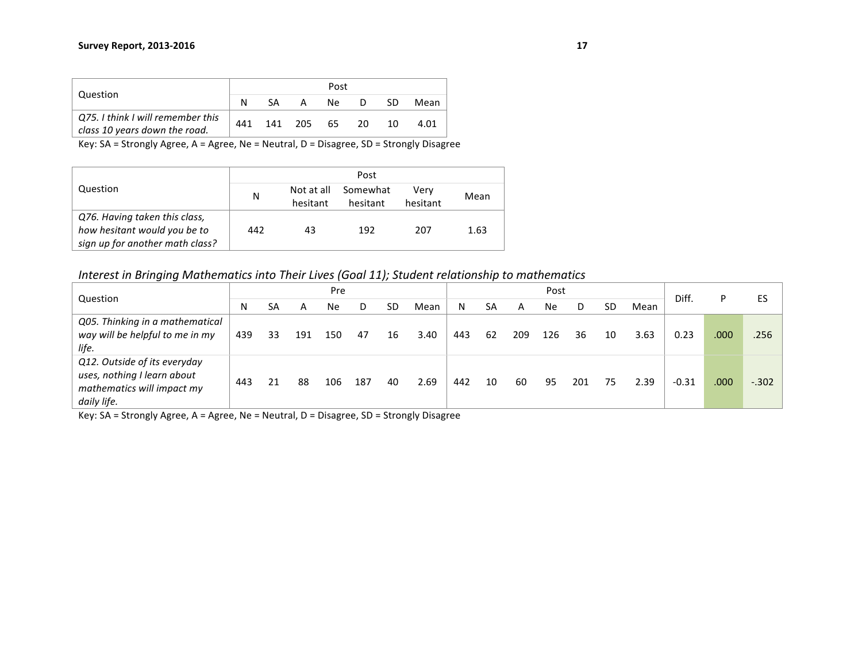|                                                                    |     |     |         | Post |     |    |      |
|--------------------------------------------------------------------|-----|-----|---------|------|-----|----|------|
| Question                                                           |     | -SA | A       | Ne.  | D   | SD | Mean |
| Q75. I think I will remember this<br>class 10 years down the road. | 441 |     | 141 205 | 65   | -20 | 10 | 4.01 |

|                                 |     |                        | Post                 |                  |      |
|---------------------------------|-----|------------------------|----------------------|------------------|------|
| Question                        | N   | Not at all<br>hesitant | Somewhat<br>hesitant | Verv<br>hesitant | Mean |
| Q76. Having taken this class,   |     |                        |                      |                  |      |
| how hesitant would you be to    | 442 | 43                     | 192                  | 207              | 1.63 |
| sign up for another math class? |     |                        |                      |                  |      |

*Interest in Bringing Mathematics into Their Lives (Goal 11); Student relationship to mathematics* 

| Question                        |     |    |     | Pre |     |    |      |     |    |     | Post |     |    |      | Diff.   | P    | ES      |
|---------------------------------|-----|----|-----|-----|-----|----|------|-----|----|-----|------|-----|----|------|---------|------|---------|
|                                 | N   | SA | А   | Ne  |     | SD | Mean | N   | SA |     | Ne   |     | SD | Mean |         |      |         |
| Q05. Thinking in a mathematical |     |    |     |     |     |    |      |     |    |     |      |     |    |      |         |      |         |
| way will be helpful to me in my | 439 | 33 | 191 | 150 | 47  | 16 | 3.40 | 443 | 62 | 209 | 126  | 36  | 10 | 3.63 | 0.23    | .000 | .256    |
| life.                           |     |    |     |     |     |    |      |     |    |     |      |     |    |      |         |      |         |
| Q12. Outside of its everyday    |     |    |     |     |     |    |      |     |    |     |      |     |    |      |         |      |         |
| uses, nothing I learn about     | 443 |    | 88  | 106 | 187 | 40 | 2.69 | 442 | 10 | 60  | 95   | 201 | 75 | 2.39 | $-0.31$ | .000 | $-.302$ |
| mathematics will impact my      |     |    |     |     |     |    |      |     |    |     |      |     |    |      |         |      |         |
| daily life.                     |     |    |     |     |     |    |      |     |    |     |      |     |    |      |         |      |         |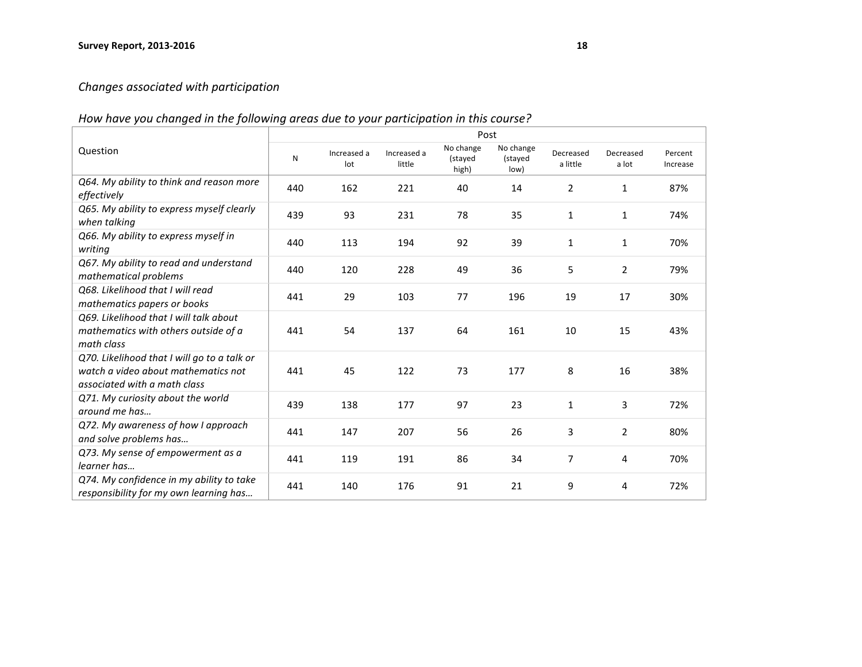## *Changes associated with participation*

## How have you changed in the following areas due to your participation in this course?

|                                                                                                                    |     |                    |                       | Post                          |                              |                       |                    |                     |
|--------------------------------------------------------------------------------------------------------------------|-----|--------------------|-----------------------|-------------------------------|------------------------------|-----------------------|--------------------|---------------------|
| Question                                                                                                           | N   | Increased a<br>lot | Increased a<br>little | No change<br>(stayed<br>high) | No change<br>(stayed<br>low) | Decreased<br>a little | Decreased<br>a lot | Percent<br>Increase |
| Q64. My ability to think and reason more<br>effectively                                                            | 440 | 162                | 221                   | 40                            | 14                           | $\overline{2}$        | $\mathbf{1}$       | 87%                 |
| Q65. My ability to express myself clearly<br>when talking                                                          | 439 | 93                 | 231                   | 78                            | 35                           | $\mathbf{1}$          | $\mathbf{1}$       | 74%                 |
| Q66. My ability to express myself in<br>writing                                                                    | 440 | 113                | 194                   | 92                            | 39                           | $\mathbf{1}$          | $\mathbf{1}$       | 70%                 |
| Q67. My ability to read and understand<br>mathematical problems                                                    | 440 | 120                | 228                   | 49                            | 36                           | 5                     | $\overline{2}$     | 79%                 |
| O68. Likelihood that I will read<br>mathematics papers or books                                                    | 441 | 29                 | 103                   | 77                            | 196                          | 19                    | 17                 | 30%                 |
| Q69. Likelihood that I will talk about<br>mathematics with others outside of a<br>math class                       | 441 | 54                 | 137                   | 64                            | 161                          | 10                    | 15                 | 43%                 |
| Q70. Likelihood that I will go to a talk or<br>watch a video about mathematics not<br>associated with a math class | 441 | 45                 | 122                   | 73                            | 177                          | 8                     | 16                 | 38%                 |
| Q71. My curiosity about the world<br>around me has                                                                 | 439 | 138                | 177                   | 97                            | 23                           | $\mathbf{1}$          | 3                  | 72%                 |
| Q72. My awareness of how I approach<br>and solve problems has                                                      | 441 | 147                | 207                   | 56                            | 26                           | 3                     | $\overline{2}$     | 80%                 |
| Q73. My sense of empowerment as a<br>learner has                                                                   | 441 | 119                | 191                   | 86                            | 34                           | $\overline{7}$        | 4                  | 70%                 |
| Q74. My confidence in my ability to take<br>responsibility for my own learning has                                 | 441 | 140                | 176                   | 91                            | 21                           | 9                     | 4                  | 72%                 |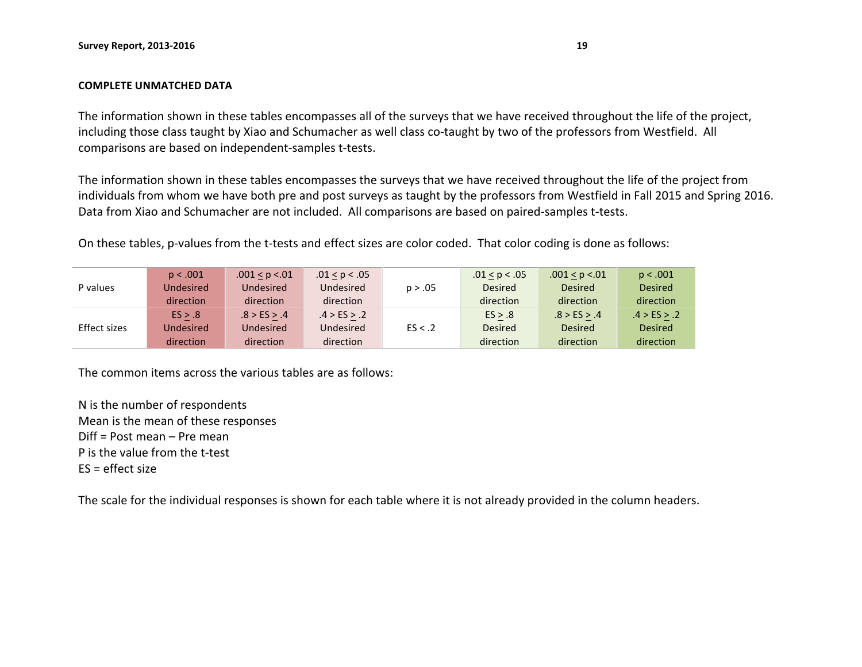#### **COMPLETE UNMATCHED DATA**

The information shown in these tables encompasses all of the surveys that we have received throughout the life of the project, including those class taught by Xiao and Schumacher as well class co-taught by two of the professors from Westfield. All comparisons are based on independent-samples t-tests.

The information shown in these tables encompasses the surveys that we have received throughout the life of the project from individuals from whom we have both pre and post surveys as taught by the professors from Westfield in Fall 2015 and Spring 2016. Data from Xiao and Schumacher are not included. All comparisons are based on paired-samples t-tests.

On these tables, p-values from the t-tests and effect sizes are color coded. That color coding is done as follows:

|              | p < .001  | .001 < p < .01   | .01 < p < .05 |         | .01 < p < .05  | .001 < p < .01 | p < .001       |
|--------------|-----------|------------------|---------------|---------|----------------|----------------|----------------|
| P values     | Undesired | <b>Undesired</b> | Undesired     | p > .05 | <b>Desired</b> | <b>Desired</b> | <b>Desired</b> |
|              | direction | direction        | direction     |         | direction      | direction      | direction      |
|              | ES > .8   | .8 > ES > .4     | .4 > ES > .2  |         | ES > .8        | .8 > ES > .4   | .4 > ES > .2   |
| Effect sizes | Undesired | <b>Undesired</b> | Undesired     | ES < .2 | <b>Desired</b> | <b>Desired</b> | <b>Desired</b> |
|              | direction | direction        | direction     |         | direction      | direction      | direction      |

The common items across the various tables are as follows:

N is the number of respondents Mean is the mean of these responses  $Diff = Post mean - Pre mean$ P is the value from the t-test  $FS = effect size$ 

The scale for the individual responses is shown for each table where it is not already provided in the column headers.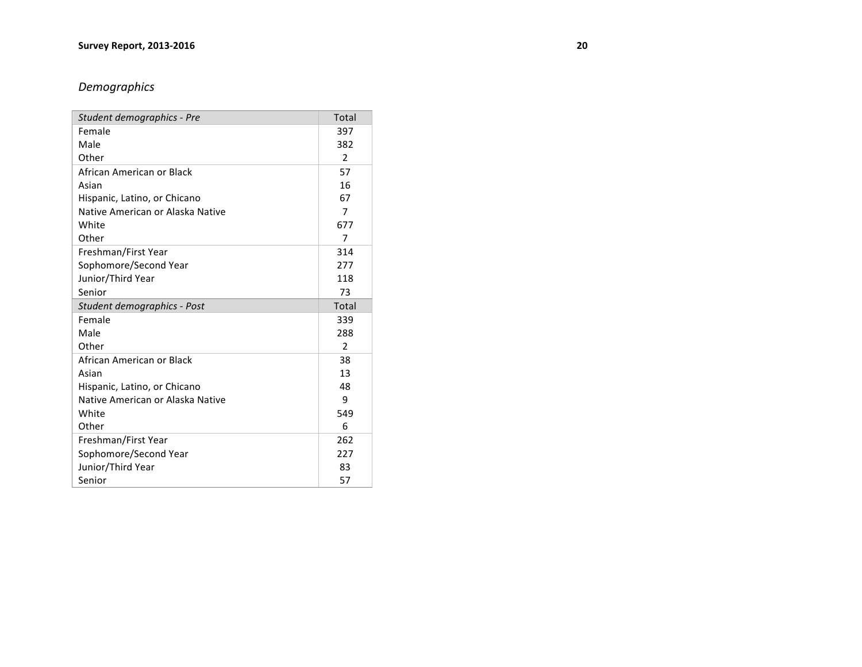## *Demographics*

| Student demographics - Pre       | <b>Total</b>   |
|----------------------------------|----------------|
| Female                           | 397            |
| Male                             | 382            |
| Other                            | $\overline{2}$ |
| African American or Black        | 57             |
| Asian                            | 16             |
| Hispanic, Latino, or Chicano     | 67             |
| Native American or Alaska Native | 7              |
| White                            | 677            |
| Other                            | 7              |
| Freshman/First Year              | 314            |
| Sophomore/Second Year            | 277            |
| Junior/Third Year                | 118            |
| Senior                           | 73             |
|                                  |                |
| Student demographics - Post      | Total          |
| Female                           | 339            |
| Male                             | 288            |
| Other                            | $\mathfrak{p}$ |
| African American or Black        | 38             |
| Asian                            | 13             |
| Hispanic, Latino, or Chicano     | 48             |
| Native American or Alaska Native | 9              |
| White                            | 549            |
| Other                            | 6              |
| Freshman/First Year              | 262            |
| Sophomore/Second Year            | 227            |
| Junior/Third Year                | 83             |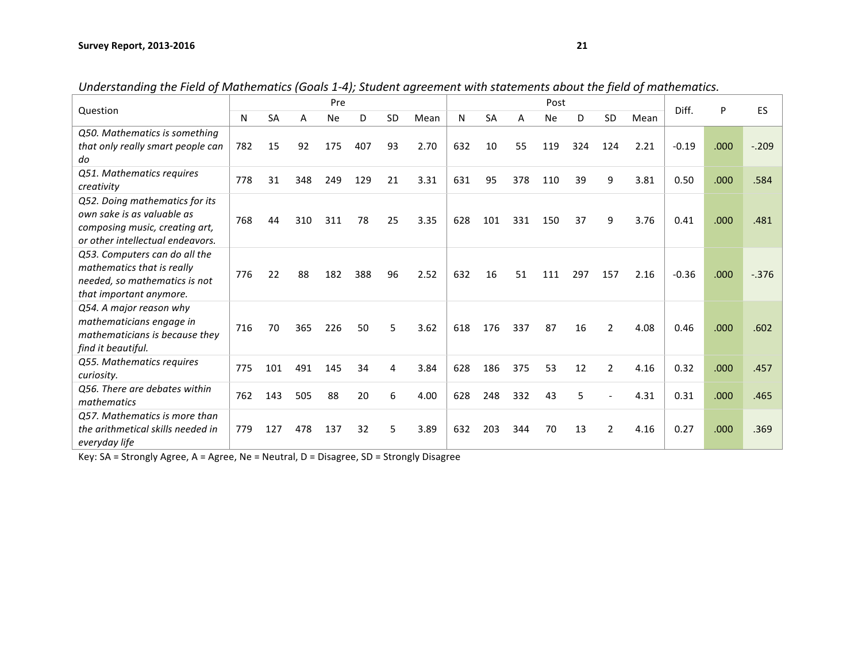| Question                          |     |           |     | Pre       |     |           |      |     |           |     | Post      |     |                |      | Diff.   | P    | ES       |
|-----------------------------------|-----|-----------|-----|-----------|-----|-----------|------|-----|-----------|-----|-----------|-----|----------------|------|---------|------|----------|
|                                   | N   | <b>SA</b> | A   | <b>Ne</b> | D   | <b>SD</b> | Mean | N   | <b>SA</b> | А   | <b>Ne</b> | D   | SD             | Mean |         |      |          |
| Q50. Mathematics is something     |     |           |     |           |     |           |      |     |           |     |           |     |                |      |         |      |          |
| that only really smart people can | 782 | 15        | 92  | 175       | 407 | 93        | 2.70 | 632 | 10        | 55  | 119       | 324 | 124            | 2.21 | $-0.19$ | .000 | $-.209$  |
| do                                |     |           |     |           |     |           |      |     |           |     |           |     |                |      |         |      |          |
| Q51. Mathematics requires         |     |           |     |           |     |           |      |     |           |     |           |     |                |      |         |      |          |
| creativity                        | 778 | 31        | 348 | 249       | 129 | 21        | 3.31 | 631 | 95        | 378 | 110       | 39  | 9              | 3.81 | 0.50    | .000 | .584     |
| Q52. Doing mathematics for its    |     |           |     |           |     |           |      |     |           |     |           |     |                |      |         |      |          |
| own sake is as valuable as        | 768 | 44        | 310 | 311       | 78  | 25        | 3.35 | 628 | 101       | 331 | 150       | 37  | 9              | 3.76 | 0.41    | .000 | .481     |
| composing music, creating art,    |     |           |     |           |     |           |      |     |           |     |           |     |                |      |         |      |          |
| or other intellectual endeavors.  |     |           |     |           |     |           |      |     |           |     |           |     |                |      |         |      |          |
| Q53. Computers can do all the     |     |           |     |           |     |           |      |     |           |     |           |     |                |      |         |      |          |
| mathematics that is really        | 776 | 22        | 88  | 182       | 388 | 96        | 2.52 | 632 | 16        | 51  | 111       | 297 | 157            | 2.16 | $-0.36$ | .000 | $-0.376$ |
| needed, so mathematics is not     |     |           |     |           |     |           |      |     |           |     |           |     |                |      |         |      |          |
| that important anymore.           |     |           |     |           |     |           |      |     |           |     |           |     |                |      |         |      |          |
| Q54. A major reason why           |     |           |     |           |     |           |      |     |           |     |           |     |                |      |         |      |          |
| mathematicians engage in          | 716 | 70        | 365 | 226       | 50  | 5         | 3.62 | 618 | 176       | 337 | 87        | 16  | $\overline{2}$ | 4.08 | 0.46    | .000 | .602     |
| mathematicians is because they    |     |           |     |           |     |           |      |     |           |     |           |     |                |      |         |      |          |
| find it beautiful.                |     |           |     |           |     |           |      |     |           |     |           |     |                |      |         |      |          |
| Q55. Mathematics requires         | 775 | 101       | 491 | 145       | 34  | 4         | 3.84 | 628 | 186       | 375 | 53        | 12  | $\overline{2}$ | 4.16 | 0.32    | .000 | .457     |
| curiosity.                        |     |           |     |           |     |           |      |     |           |     |           |     |                |      |         |      |          |
| Q56. There are debates within     | 762 | 143       | 505 | 88        | 20  | 6         | 4.00 | 628 | 248       | 332 | 43        | 5   |                | 4.31 | 0.31    | .000 | .465     |
| mathematics                       |     |           |     |           |     |           |      |     |           |     |           |     |                |      |         |      |          |
| Q57. Mathematics is more than     |     |           |     |           |     |           |      |     |           |     |           |     |                |      |         |      |          |
| the arithmetical skills needed in | 779 | 127       | 478 | 137       | 32  | 5         | 3.89 | 632 | 203       | 344 | 70        | 13  | $\overline{2}$ | 4.16 | 0.27    | .000 | .369     |
| everyday life                     |     |           |     |           |     |           |      |     |           |     |           |     |                |      |         |      |          |

*Understanding the Field of Mathematics (Goals 1-4); Student agreement with statements about the field of mathematics.*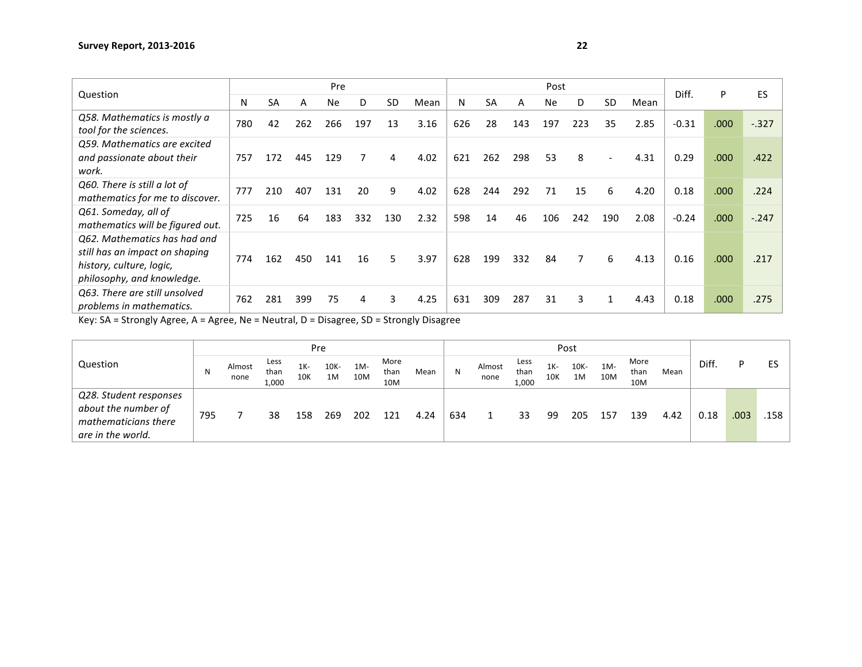| Question                                                                                                                 |     |           |     | Pre |     |           |      |     |           |     | Post      |     |                          |      | Diff.   | P                 | ES      |
|--------------------------------------------------------------------------------------------------------------------------|-----|-----------|-----|-----|-----|-----------|------|-----|-----------|-----|-----------|-----|--------------------------|------|---------|-------------------|---------|
|                                                                                                                          | N   | <b>SA</b> | A   | Ne. | D   | <b>SD</b> | Mean | N   | <b>SA</b> | A   | <b>Ne</b> | D   | <b>SD</b>                | Mean |         |                   |         |
| Q58. Mathematics is mostly a<br>tool for the sciences.                                                                   | 780 | 42        | 262 | 266 | 197 | 13        | 3.16 | 626 | 28        | 143 | 197       | 223 | 35                       | 2.85 | $-0.31$ | .000              | $-327$  |
| Q59. Mathematics are excited<br>and passionate about their<br>work.                                                      | 757 | 172       | 445 | 129 | 7   | 4         | 4.02 | 621 | 262       | 298 | 53        | 8   | $\overline{\phantom{a}}$ | 4.31 | 0.29    | .000 <sub>1</sub> | .422    |
| Q60. There is still a lot of<br>mathematics for me to discover.                                                          | 777 | 210       | 407 | 131 | 20  | 9         | 4.02 | 628 | 244       | 292 | 71        | 15  | 6                        | 4.20 | 0.18    | .000 <sub>1</sub> | .224    |
| Q61. Someday, all of<br>mathematics will be figured out.                                                                 | 725 | 16        | 64  | 183 | 332 | 130       | 2.32 | 598 | 14        | 46  | 106       | 242 | 190                      | 2.08 | $-0.24$ | .000 <sub>1</sub> | $-.247$ |
| Q62. Mathematics has had and<br>still has an impact on shaping<br>history, culture, logic,<br>philosophy, and knowledge. | 774 | 162       | 450 | 141 | 16  | 5         | 3.97 | 628 | 199       | 332 | 84        |     | 6                        | 4.13 | 0.16    | .000              | .217    |
| Q63. There are still unsolved<br>problems in mathematics.                                                                | 762 | 281       | 399 | 75  | 4   | 3         | 4.25 | 631 | 309       | 287 | 31        | 3   | $\mathbf{1}$             | 4.43 | 0.18    | .000              | .275    |

|                                                                                            |     |                |                       |               | Pre        |            |                     |      |     |                |                       |               | Post       |               |                     |      |      |      |      |
|--------------------------------------------------------------------------------------------|-----|----------------|-----------------------|---------------|------------|------------|---------------------|------|-----|----------------|-----------------------|---------------|------------|---------------|---------------------|------|------|------|------|
| Question                                                                                   | N   | Almost<br>none | Less<br>than<br>1,000 | $1K -$<br>10K | 10K-<br>1M | 1M-<br>10M | More<br>than<br>10M | Mean | N   | Almost<br>none | Less<br>than<br>1,000 | $1K -$<br>10K | 10K-<br>1M | $1M -$<br>10M | More<br>than<br>10M | Mean | Diff | D    | ES   |
| Q28. Student responses<br>about the number of<br>mathematicians there<br>are in the world. | 795 |                | 38                    | 158           | 269        | 202        | 121                 | 4.24 | 634 |                | 33                    | 99            | 205        | 157           | 139                 | 4.42 | 0.18 | .003 | .158 |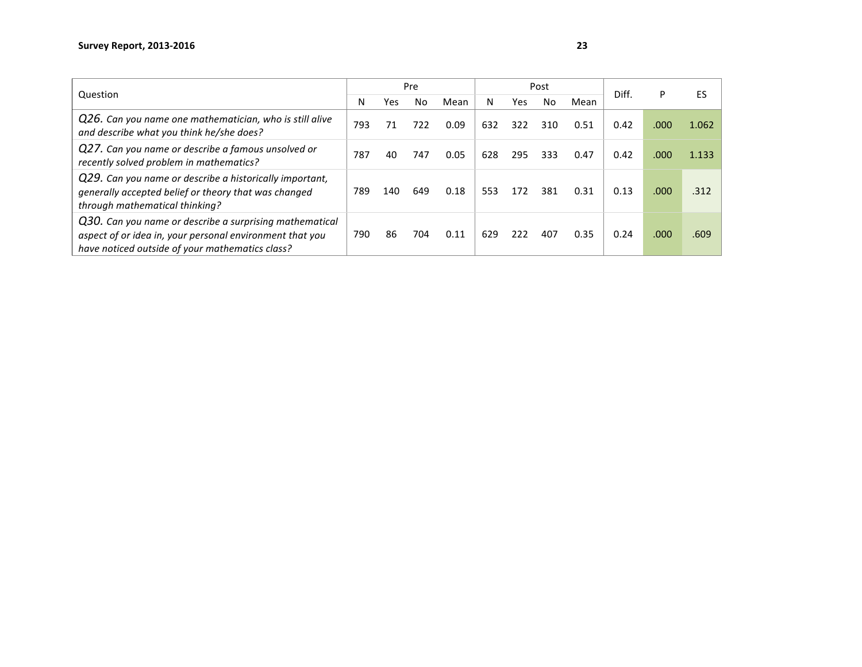| Question                                                                                                                                                               |     |     | Pre |      |     |     | Post |      | Diff. | P    | ES    |
|------------------------------------------------------------------------------------------------------------------------------------------------------------------------|-----|-----|-----|------|-----|-----|------|------|-------|------|-------|
|                                                                                                                                                                        | N   | Yes | No  | Mean | N   | Yes | No   | Mean |       |      |       |
| Q26. Can you name one mathematician, who is still alive<br>and describe what you think he/she does?                                                                    | 793 | 71  | 722 | 0.09 | 632 | 322 | 310  | 0.51 | 0.42  | .000 | 1.062 |
| Q27. Can you name or describe a famous unsolved or<br>recently solved problem in mathematics?                                                                          | 787 | 40  | 747 | 0.05 | 628 | 295 | 333  | 0.47 | 0.42  | .000 | 1.133 |
| Q29. Can you name or describe a historically important,<br>generally accepted belief or theory that was changed<br>through mathematical thinking?                      | 789 | 140 | 649 | 0.18 | 553 | 172 | 381  | 0.31 | 0.13  | .000 | .312  |
| Q30. Can you name or describe a surprising mathematical<br>aspect of or idea in, your personal environment that you<br>have noticed outside of your mathematics class? | 790 | 86  | 704 | 0.11 | 629 | 222 | 407  | 0.35 | 0.24  | .000 | .609  |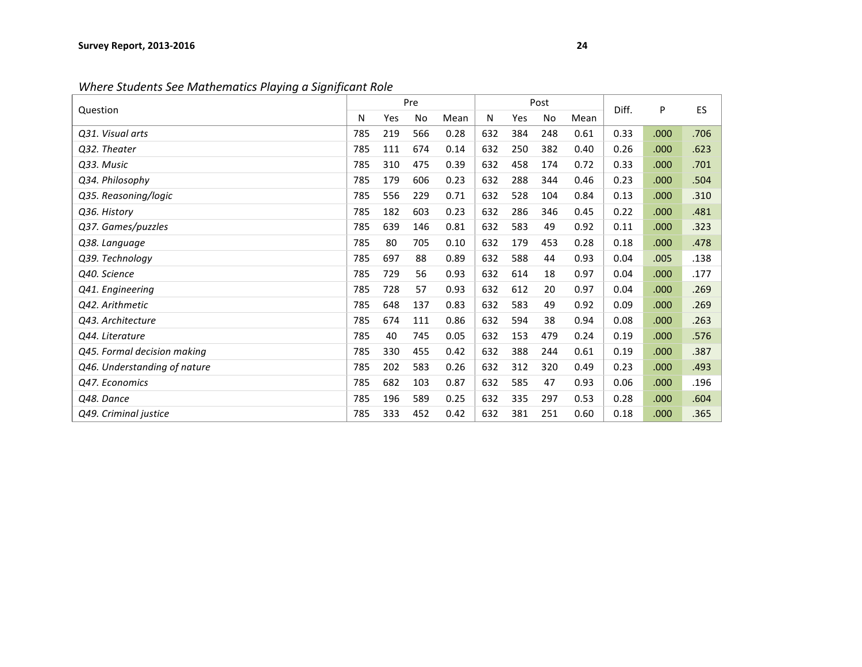*Where Students See Mathematics Playing a Significant Role* 

| Question                     |     |     | Pre |      |     |     | Post      |      | Diff. | P    | <b>ES</b> |
|------------------------------|-----|-----|-----|------|-----|-----|-----------|------|-------|------|-----------|
|                              | N   | Yes | No  | Mean | Ν   | Yes | <b>No</b> | Mean |       |      |           |
| Q31. Visual arts             | 785 | 219 | 566 | 0.28 | 632 | 384 | 248       | 0.61 | 0.33  | .000 | .706      |
| Q32. Theater                 | 785 | 111 | 674 | 0.14 | 632 | 250 | 382       | 0.40 | 0.26  | .000 | .623      |
| Q33. Music                   | 785 | 310 | 475 | 0.39 | 632 | 458 | 174       | 0.72 | 0.33  | .000 | .701      |
| Q34. Philosophy              | 785 | 179 | 606 | 0.23 | 632 | 288 | 344       | 0.46 | 0.23  | .000 | .504      |
| Q35. Reasoning/logic         | 785 | 556 | 229 | 0.71 | 632 | 528 | 104       | 0.84 | 0.13  | .000 | .310      |
| Q36. History                 | 785 | 182 | 603 | 0.23 | 632 | 286 | 346       | 0.45 | 0.22  | .000 | .481      |
| Q37. Games/puzzles           | 785 | 639 | 146 | 0.81 | 632 | 583 | 49        | 0.92 | 0.11  | .000 | .323      |
| Q38. Language                | 785 | 80  | 705 | 0.10 | 632 | 179 | 453       | 0.28 | 0.18  | .000 | .478      |
| Q39. Technology              | 785 | 697 | 88  | 0.89 | 632 | 588 | 44        | 0.93 | 0.04  | .005 | .138      |
| Q40. Science                 | 785 | 729 | 56  | 0.93 | 632 | 614 | 18        | 0.97 | 0.04  | .000 | .177      |
| Q41. Engineering             | 785 | 728 | 57  | 0.93 | 632 | 612 | 20        | 0.97 | 0.04  | .000 | .269      |
| Q42. Arithmetic              | 785 | 648 | 137 | 0.83 | 632 | 583 | 49        | 0.92 | 0.09  | .000 | .269      |
| Q43. Architecture            | 785 | 674 | 111 | 0.86 | 632 | 594 | 38        | 0.94 | 0.08  | .000 | .263      |
| Q44. Literature              | 785 | 40  | 745 | 0.05 | 632 | 153 | 479       | 0.24 | 0.19  | .000 | .576      |
| Q45. Formal decision making  | 785 | 330 | 455 | 0.42 | 632 | 388 | 244       | 0.61 | 0.19  | .000 | .387      |
| Q46. Understanding of nature | 785 | 202 | 583 | 0.26 | 632 | 312 | 320       | 0.49 | 0.23  | .000 | .493      |
| Q47. Economics               | 785 | 682 | 103 | 0.87 | 632 | 585 | 47        | 0.93 | 0.06  | .000 | .196      |
| Q48. Dance                   | 785 | 196 | 589 | 0.25 | 632 | 335 | 297       | 0.53 | 0.28  | .000 | .604      |
| Q49. Criminal justice        | 785 | 333 | 452 | 0.42 | 632 | 381 | 251       | 0.60 | 0.18  | .000 | .365      |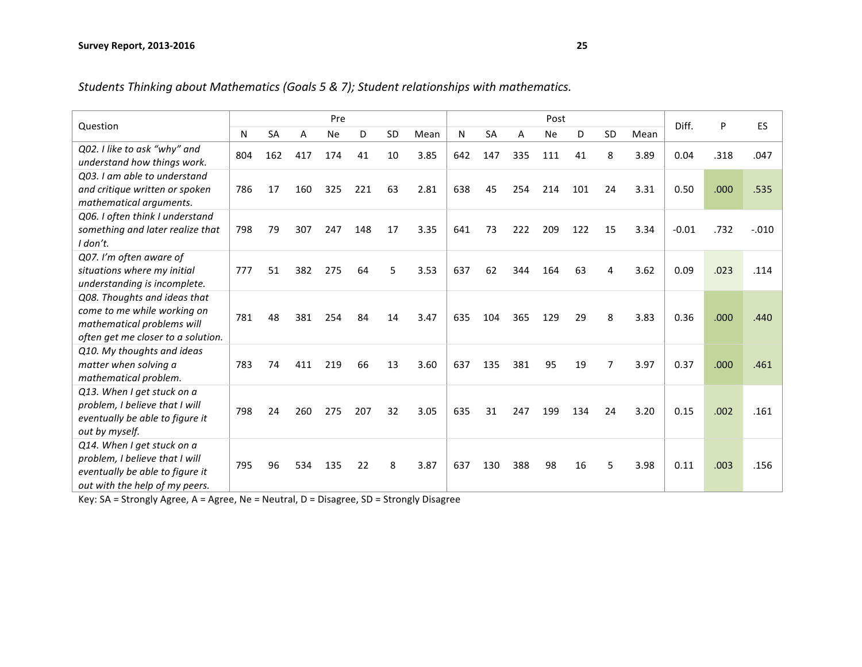| Students Thinking about Mathematics (Goals 5 & 7); Student relationships with mathematics. |  |  |
|--------------------------------------------------------------------------------------------|--|--|
|                                                                                            |  |  |

| Question                           |     |           |     | Pre       |     |           |      |     |           |     | Post      |     |    |      | Diff.   | P    | ES      |
|------------------------------------|-----|-----------|-----|-----------|-----|-----------|------|-----|-----------|-----|-----------|-----|----|------|---------|------|---------|
|                                    | N   | <b>SA</b> | A   | <b>Ne</b> | D   | <b>SD</b> | Mean | N   | <b>SA</b> | A   | <b>Ne</b> | D   | SD | Mean |         |      |         |
| Q02. I like to ask "why" and       | 804 | 162       | 417 | 174       | 41  | 10        | 3.85 | 642 | 147       | 335 | 111       | 41  | 8  | 3.89 | 0.04    | .318 | .047    |
| understand how things work.        |     |           |     |           |     |           |      |     |           |     |           |     |    |      |         |      |         |
| Q03. I am able to understand       |     |           |     |           |     |           |      |     |           |     |           |     |    |      |         |      |         |
| and critique written or spoken     | 786 | 17        | 160 | 325       | 221 | 63        | 2.81 | 638 | 45        | 254 | 214       | 101 | 24 | 3.31 | 0.50    | .000 | .535    |
| mathematical arguments.            |     |           |     |           |     |           |      |     |           |     |           |     |    |      |         |      |         |
| Q06. I often think I understand    |     |           |     |           |     |           |      |     |           |     |           |     |    |      |         |      |         |
| something and later realize that   | 798 | 79        | 307 | 247       | 148 | 17        | 3.35 | 641 | 73        | 222 | 209       | 122 | 15 | 3.34 | $-0.01$ | .732 | $-.010$ |
| I don't.                           |     |           |     |           |     |           |      |     |           |     |           |     |    |      |         |      |         |
| Q07. I'm often aware of            |     |           |     |           |     |           |      |     |           |     |           |     |    |      |         |      |         |
| situations where my initial        | 777 | 51        | 382 | 275       | 64  | 5         | 3.53 | 637 | 62        | 344 | 164       | 63  | 4  | 3.62 | 0.09    | .023 | .114    |
| understanding is incomplete.       |     |           |     |           |     |           |      |     |           |     |           |     |    |      |         |      |         |
| Q08. Thoughts and ideas that       |     |           |     |           |     |           |      |     |           |     |           |     |    |      |         |      |         |
| come to me while working on        | 781 | 48        | 381 | 254       | 84  | 14        | 3.47 | 635 | 104       | 365 | 129       | 29  | 8  | 3.83 | 0.36    | .000 | .440    |
| mathematical problems will         |     |           |     |           |     |           |      |     |           |     |           |     |    |      |         |      |         |
| often get me closer to a solution. |     |           |     |           |     |           |      |     |           |     |           |     |    |      |         |      |         |
| Q10. My thoughts and ideas         |     |           |     |           |     |           |      |     |           |     |           |     |    |      |         |      |         |
| matter when solving a              | 783 | 74        | 411 | 219       | 66  | 13        | 3.60 | 637 | 135       | 381 | 95        | 19  | 7  | 3.97 | 0.37    | .000 | .461    |
| mathematical problem.              |     |           |     |           |     |           |      |     |           |     |           |     |    |      |         |      |         |
| Q13. When I get stuck on a         |     |           |     |           |     |           |      |     |           |     |           |     |    |      |         |      |         |
| problem, I believe that I will     | 798 | 24        | 260 | 275       | 207 | 32        | 3.05 | 635 | 31        | 247 | 199       | 134 | 24 | 3.20 | 0.15    | .002 | .161    |
| eventually be able to figure it    |     |           |     |           |     |           |      |     |           |     |           |     |    |      |         |      |         |
| out by myself.                     |     |           |     |           |     |           |      |     |           |     |           |     |    |      |         |      |         |
| Q14. When I get stuck on a         |     |           |     |           |     |           |      |     |           |     |           |     |    |      |         |      |         |
| problem, I believe that I will     | 795 | 96        | 534 | 135       | 22  | 8         | 3.87 | 637 | 130       | 388 | 98        | 16  | 5  | 3.98 | 0.11    | .003 | .156    |
| eventually be able to figure it    |     |           |     |           |     |           |      |     |           |     |           |     |    |      |         |      |         |
| out with the help of my peers.     |     |           |     |           |     |           |      |     |           |     |           |     |    |      |         |      |         |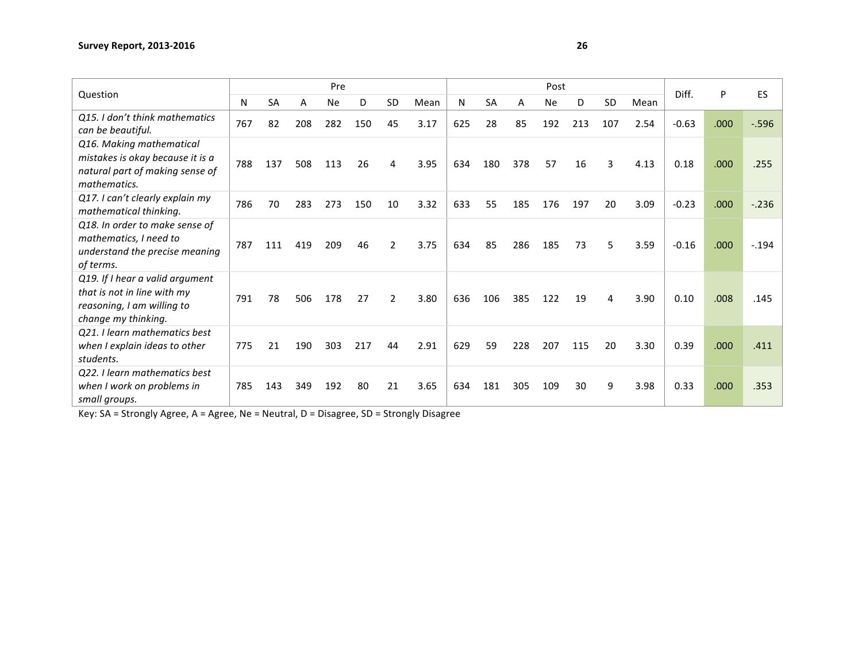| Question                                                                                                            |     |           |     | Pre |     |                |      |     |           |     | Post      |     |           |      | Diff.   | P    | ES       |
|---------------------------------------------------------------------------------------------------------------------|-----|-----------|-----|-----|-----|----------------|------|-----|-----------|-----|-----------|-----|-----------|------|---------|------|----------|
|                                                                                                                     | N   | <b>SA</b> | Α   | Ne  | D   | <b>SD</b>      | Mean | N   | <b>SA</b> | А   | <b>Ne</b> | D   | <b>SD</b> | Mean |         |      |          |
| Q15. I don't think mathematics<br>can be beautiful.                                                                 | 767 | 82        | 208 | 282 | 150 | 45             | 3.17 | 625 | 28        | 85  | 192       | 213 | 107       | 2.54 | $-0.63$ | .000 | $-0.596$ |
| Q16. Making mathematical<br>mistakes is okay because it is a<br>natural part of making sense of<br>mathematics.     | 788 | 137       | 508 | 113 | 26  | 4              | 3.95 | 634 | 180       | 378 | 57        | 16  | 3         | 4.13 | 0.18    | .000 | .255     |
| Q17. I can't clearly explain my<br>mathematical thinking.                                                           | 786 | 70        | 283 | 273 | 150 | 10             | 3.32 | 633 | 55        | 185 | 176       | 197 | 20        | 3.09 | $-0.23$ | .000 | $-.236$  |
| Q18. In order to make sense of<br>mathematics, I need to<br>understand the precise meaning<br>of terms.             | 787 | 111       | 419 | 209 | 46  | $\overline{2}$ | 3.75 | 634 | 85        | 286 | 185       | 73  | 5         | 3.59 | $-0.16$ | .000 | $-.194$  |
| Q19. If I hear a valid argument<br>that is not in line with my<br>reasoning, I am willing to<br>change my thinking. | 791 | 78        | 506 | 178 | 27  | $\mathfrak{p}$ | 3.80 | 636 | 106       | 385 | 122       | 19  | 4         | 3.90 | 0.10    | .008 | .145     |
| Q21. I learn mathematics best<br>when I explain ideas to other<br>students.                                         | 775 | 21        | 190 | 303 | 217 | 44             | 2.91 | 629 | 59        | 228 | 207       | 115 | 20        | 3.30 | 0.39    | .000 | .411     |
| Q22. I learn mathematics best<br>when I work on problems in<br>small groups.                                        | 785 | 143       | 349 | 192 | 80  | 21             | 3.65 | 634 | 181       | 305 | 109       | 30  | 9         | 3.98 | 0.33    | .000 | .353     |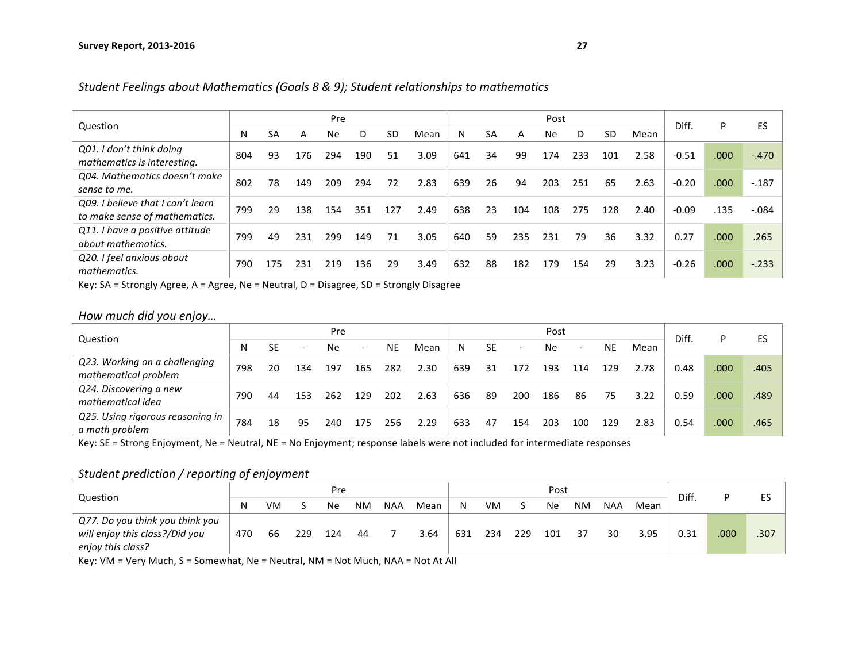|                                                                    |     |     |     | Pre       |     |     |      |     |           |     | Post      |     |           |      | Diff.   | P    | ES      |
|--------------------------------------------------------------------|-----|-----|-----|-----------|-----|-----|------|-----|-----------|-----|-----------|-----|-----------|------|---------|------|---------|
| Question                                                           | N   | SA  | A   | <b>Ne</b> | D   | SD  | Mean | N   | <b>SA</b> | A   | <b>Ne</b> | D   | <b>SD</b> | Mean |         |      |         |
| Q01. I don't think doing<br>mathematics is interesting.            | 804 | 93  | 176 | 294       | 190 | 51  | 3.09 | 641 | 34        | 99  | 174       | 233 | 101       | 2.58 | $-0.51$ | .000 | $-.470$ |
| Q04. Mathematics doesn't make<br>sense to me.                      | 802 | 78  | 149 | 209       | 294 | 72  | 2.83 | 639 | 26        | 94  | 203       | 251 | 65        | 2.63 | $-0.20$ | .000 | $-187$  |
| Q09. I believe that I can't learn<br>to make sense of mathematics. | 799 | 29  | 138 | 154       | 351 | 127 | 2.49 | 638 | 23        | 104 | 108       | 275 | 128       | 2.40 | $-0.09$ | .135 | $-.084$ |
| Q11. I have a positive attitude<br>about mathematics.              | 799 | 49  | 231 | 299       | 149 | 71  | 3.05 | 640 | 59        | 235 | 231       | 79  | 36        | 3.32 | 0.27    | .000 | .265    |
| Q20. I feel anxious about<br>mathematics.                          | 790 | 175 | 231 | 219       | 136 | 29  | 3.49 | 632 | 88        | 182 | 179       | 154 | 29        | 3.23 | $-0.26$ | .000 | $-.233$ |

Student Feelings about Mathematics (Goals 8 & 9); Student relationships to mathematics

Key:  $SA =$  Strongly Agree,  $A =$  Agree,  $Ne =$  Neutral,  $D =$  Disagree,  $SD =$  Strongly Disagree

*How much did you enjoy…*

| Question                                              |     |    |                          | Pre |                   |           |      |     |           |     | Post      |                          |     |      | Diff. | P    | ES   |
|-------------------------------------------------------|-----|----|--------------------------|-----|-------------------|-----------|------|-----|-----------|-----|-----------|--------------------------|-----|------|-------|------|------|
|                                                       | N   | SE | $\overline{\phantom{a}}$ | Ne. | $\qquad \qquad -$ | <b>NE</b> | Mean | N.  | <b>SE</b> |     | <b>Ne</b> | $\overline{\phantom{0}}$ | NE  | Mean |       |      |      |
| Q23. Working on a challenging<br>mathematical problem | 798 | 20 | 134                      | 197 | 165               | 282       | 2.30 | 639 | 31        | 172 | 193       | 114                      | 129 | 2.78 | 0.48  | .000 | .405 |
| Q24. Discovering a new<br>mathematical idea           | 790 | 44 | 153                      | 262 | 129               | 202       | 2.63 | 636 | 89        | 200 | 186       | 86                       | 75  | 3.22 | 0.59  | .000 | .489 |
| Q25. Using rigorous reasoning in<br>a math problem    | 784 | 18 | 95                       | 240 | 175               | 256       | 2.29 | 633 | 47        | 154 | 203       | 100                      | 129 | 2.83 | 0.54  | .000 | .465 |

Key: SE = Strong Enjoyment, Ne = Neutral, NE = No Enjoyment; response labels were not included for intermediate responses

### Student prediction / reporting of enjoyment

|                                                     |     |    |     | Pre |           |            |      |     |     |     | Post |    |            |      | Diff. |      | ES   |
|-----------------------------------------------------|-----|----|-----|-----|-----------|------------|------|-----|-----|-----|------|----|------------|------|-------|------|------|
| Question                                            |     | VM |     | Ne  | <b>NM</b> | <b>NAA</b> | Mean | N   | VM  |     | Ne   | ΝM | <b>NAA</b> | Mean |       |      |      |
| Q77. Do you think you think you                     |     |    |     |     |           |            |      |     |     |     |      |    |            |      |       |      |      |
| will enjoy this class?/Did you<br>enjoy this class? | 470 | 66 | 229 | 124 | 44        |            | 3.64 | 631 | 234 | 229 | 101  | 37 | 30         | 3.95 | 0.31  | .000 | .307 |

Key: VM = Very Much, S = Somewhat, Ne = Neutral, NM = Not Much, NAA = Not At All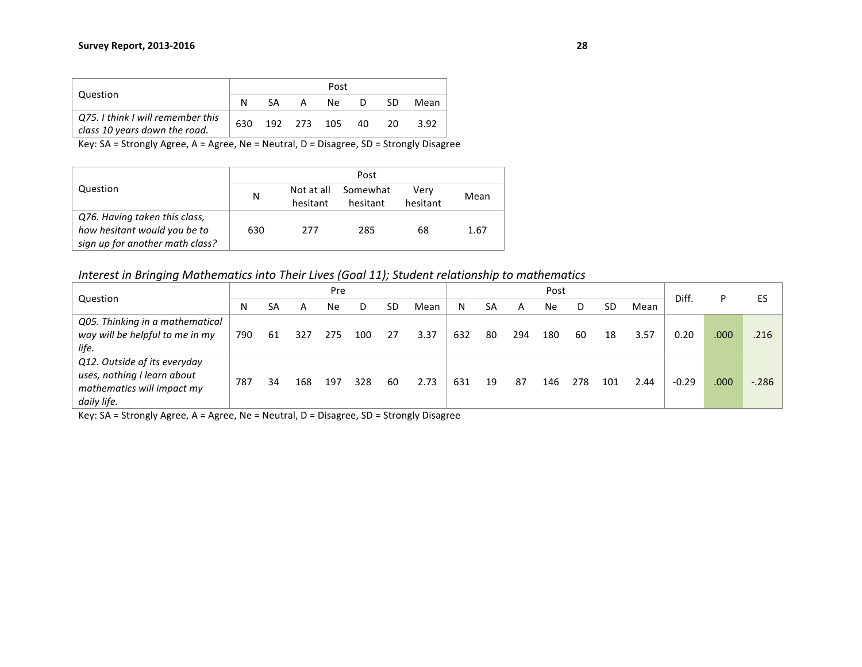|                                                                    |      |    |          | Post        |    |    |      |
|--------------------------------------------------------------------|------|----|----------|-------------|----|----|------|
| Question                                                           |      | SА | <b>A</b> | Ne.         | D  | SD | Mean |
| Q75. I think I will remember this<br>class 10 years down the road. | 630. |    |          | 192 273 105 | 40 | 20 | 3.92 |

|                                 |     |                        | Post                 |                  |      |
|---------------------------------|-----|------------------------|----------------------|------------------|------|
| Question                        | N   | Not at all<br>hesitant | Somewhat<br>hesitant | Verv<br>hesitant | Mean |
| Q76. Having taken this class,   |     |                        |                      |                  |      |
| how hesitant would you be to    | 630 | 277                    | 285                  | 68               | 1.67 |
| sign up for another math class? |     |                        |                      |                  |      |

*Interest in Bringing Mathematics into Their Lives (Goal 11); Student relationship to mathematics* 

| Question                        |     |    |     | Pre |     |    |      |     |    |     | Post |     |           |      | Diff.   |      | ES     |
|---------------------------------|-----|----|-----|-----|-----|----|------|-----|----|-----|------|-----|-----------|------|---------|------|--------|
|                                 | N   | SA | А   | Ne  | D   | SD | Mean | N   | SA | А   | Ne   |     | <b>SD</b> | Mean |         |      |        |
| Q05. Thinking in a mathematical |     |    |     |     |     |    |      |     |    |     |      |     |           |      |         |      |        |
| way will be helpful to me in my | 790 | 61 | 327 | 275 | 100 | 27 | 3.37 | 632 | 80 | 294 | 180  | 60  | 18        | 3.57 | 0.20    | .000 | .216   |
| life.                           |     |    |     |     |     |    |      |     |    |     |      |     |           |      |         |      |        |
| Q12. Outside of its everyday    |     |    |     |     |     |    |      |     |    |     |      |     |           |      |         |      |        |
| uses, nothing I learn about     | 787 | 34 | 168 | 197 | 328 | 60 | 2.73 | 631 | 19 | 87  | 146  | 278 | 101       | 2.44 | $-0.29$ | .000 | $-286$ |
| mathematics will impact my      |     |    |     |     |     |    |      |     |    |     |      |     |           |      |         |      |        |
| daily life.                     |     |    |     |     |     |    |      |     |    |     |      |     |           |      |         |      |        |